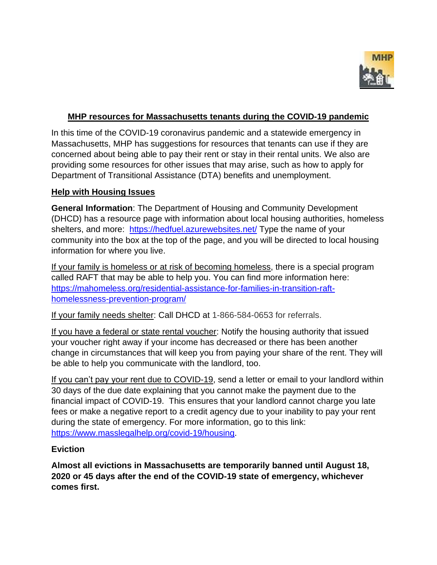

#### **MHP resources for Massachusetts tenants during the COVID-19 pandemic**

In this time of the COVID-19 coronavirus pandemic and a statewide emergency in Massachusetts, MHP has suggestions for resources that tenants can use if they are concerned about being able to pay their rent or stay in their rental units. We also are providing some resources for other issues that may arise, such as how to apply for Department of Transitional Assistance (DTA) benefits and unemployment.

#### **Help with Housing Issues**

**General Information**: The Department of Housing and Community Development (DHCD) has a resource page with information about local housing authorities, homeless shelters, and more: <https://hedfuel.azurewebsites.net/> Type the name of your community into the box at the top of the page, and you will be directed to local housing information for where you live.

If your family is homeless or at risk of becoming homeless, there is a special program called RAFT that may be able to help you. You can find more information here: [https://mahomeless.org/residential-assistance-for-families-in-transition-raft](https://mahomeless.org/residential-assistance-for-families-in-transition-raft-homelessness-prevention-program/)[homelessness-prevention-program/](https://mahomeless.org/residential-assistance-for-families-in-transition-raft-homelessness-prevention-program/)

If your family needs shelter: Call DHCD at 1-866-584-0653 for referrals.

If you have a federal or state rental voucher: Notify the housing authority that issued your voucher right away if your income has decreased or there has been another change in circumstances that will keep you from paying your share of the rent. They will be able to help you communicate with the landlord, too.

If you can't pay your rent due to COVID-19, send a letter or email to your landlord within 30 days of the due date explaining that you cannot make the payment due to the financial impact of COVID-19. This ensures that your landlord cannot charge you late fees or make a negative report to a credit agency due to your inability to pay your rent during the state of emergency. For more information, go to this link: [https://www.masslegalhelp.org/covid-19/housing.](https://www.masslegalhelp.org/covid-19/housing)

#### **Eviction**

**Almost all evictions in Massachusetts are temporarily banned until August 18, 2020 or 45 days after the end of the COVID-19 state of emergency, whichever comes first.**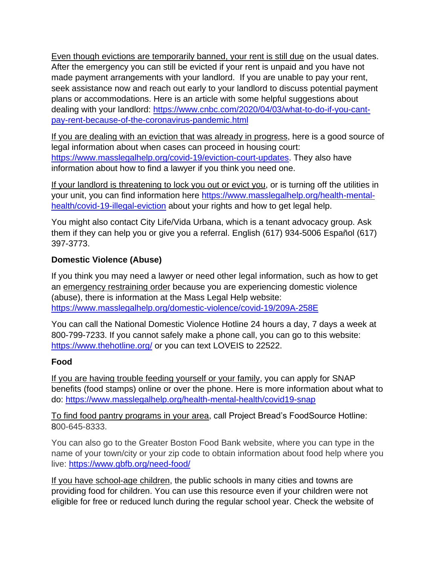Even though evictions are temporarily banned, your rent is still due on the usual dates. After the emergency you can still be evicted if your rent is unpaid and you have not made payment arrangements with your landlord. If you are unable to pay your rent, seek assistance now and reach out early to your landlord to discuss potential payment plans or accommodations. Here is an article with some helpful suggestions about dealing with your landlord: [https://www.cnbc.com/2020/04/03/what-to-do-if-you-cant](https://www.cnbc.com/2020/04/03/what-to-do-if-you-cant-pay-rent-because-of-the-coronavirus-pandemic.html)[pay-rent-because-of-the-coronavirus-pandemic.html](https://www.cnbc.com/2020/04/03/what-to-do-if-you-cant-pay-rent-because-of-the-coronavirus-pandemic.html)

If you are dealing with an eviction that was already in progress, here is a good source of legal information about when cases can proceed in housing court: [https://www.masslegalhelp.org/covid-19/eviction-court-updates.](https://www.masslegalhelp.org/covid-19/eviction-court-updates) They also have information about how to find a lawyer if you think you need one.

If your landlord is threatening to lock you out or evict you, or is turning off the utilities in your unit, you can find information here [https://www.masslegalhelp.org/health-mental](https://www.masslegalhelp.org/health-mental-health/covid-19-illegal-eviction)[health/covid-19-illegal-eviction](https://www.masslegalhelp.org/health-mental-health/covid-19-illegal-eviction) about your rights and how to get legal help.

You might also contact City Life/Vida Urbana, which is a tenant advocacy group. Ask them if they can help you or give you a referral. English (617) 934-5006 Español (617) 397-3773.

## **Domestic Violence (Abuse)**

If you think you may need a lawyer or need other legal information, such as how to get an emergency restraining order because you are experiencing domestic violence (abuse), there is information at the Mass Legal Help website: <https://www.masslegalhelp.org/domestic-violence/covid-19/209A-258E>

You can call the National Domestic Violence Hotline 24 hours a day, 7 days a week at 800-799-7233. If you cannot safely make a phone call, you can go to this website: <https://www.thehotline.org/> or you can text LOVEIS to 22522.

## **Food**

If you are having trouble feeding yourself or your family, you can apply for SNAP benefits (food stamps) online or over the phone. Here is more information about what to do:<https://www.masslegalhelp.org/health-mental-health/covid19-snap>

To find food pantry programs in your area, call Project Bread's FoodSource Hotline: 800-645-8333.

You can also go to the Greater Boston Food Bank website, where you can type in the name of your town/city or your zip code to obtain information about food help where you live: <https://www.gbfb.org/need-food/>

If you have school-age children, the public schools in many cities and towns are providing food for children. You can use this resource even if your children were not eligible for free or reduced lunch during the regular school year. Check the website of